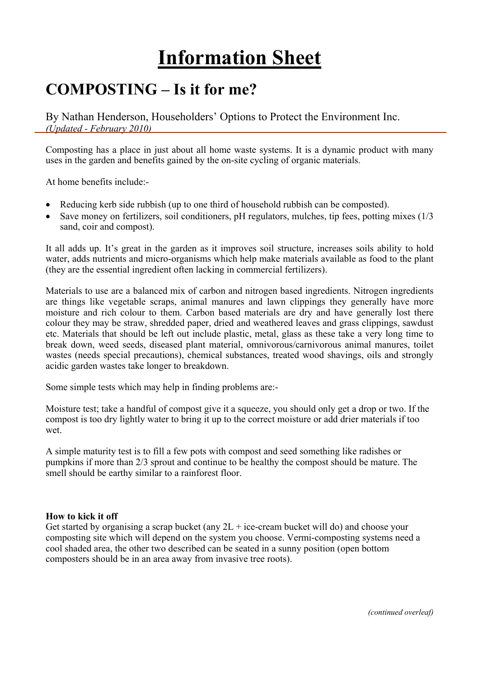# **Information Sheet**

# **COMPOSTING – Is it for me?**

By Nathan Henderson, Householders' Options to Protect the Environment Inc. *(Updated - February 2010)* 

Composting has a place in just about all home waste systems. It is a dynamic product with many uses in the garden and benefits gained by the on-site cycling of organic materials.

At home benefits include:-

- Reducing kerb side rubbish (up to one third of household rubbish can be composted).
- Save money on fertilizers, soil conditioners, pH regulators, mulches, tip fees, potting mixes (1/3) sand, coir and compost).

It all adds up. It's great in the garden as it improves soil structure, increases soils ability to hold water, adds nutrients and micro-organisms which help make materials available as food to the plant (they are the essential ingredient often lacking in commercial fertilizers).

Materials to use are a balanced mix of carbon and nitrogen based ingredients. Nitrogen ingredients are things like vegetable scraps, animal manures and lawn clippings they generally have more moisture and rich colour to them. Carbon based materials are dry and have generally lost there colour they may be straw, shredded paper, dried and weathered leaves and grass clippings, sawdust etc. Materials that should be left out include plastic, metal, glass as these take a very long time to break down, weed seeds, diseased plant material, omnivorous/carnivorous animal manures, toilet wastes (needs special precautions), chemical substances, treated wood shavings, oils and strongly acidic garden wastes take longer to breakdown.

Some simple tests which may help in finding problems are:-

Moisture test; take a handful of compost give it a squeeze, you should only get a drop or two. If the compost is too dry lightly water to bring it up to the correct moisture or add drier materials if too wet.

A simple maturity test is to fill a few pots with compost and seed something like radishes or pumpkins if more than 2/3 sprout and continue to be healthy the compost should be mature. The smell should be earthy similar to a rainforest floor.

#### **How to kick it off**

Get started by organising a scrap bucket (any  $2L + ice-$ cream bucket will do) and choose your composting site which will depend on the system you choose. Vermi-composting systems need a cool shaded area, the other two described can be seated in a sunny position (open bottom composters should be in an area away from invasive tree roots).